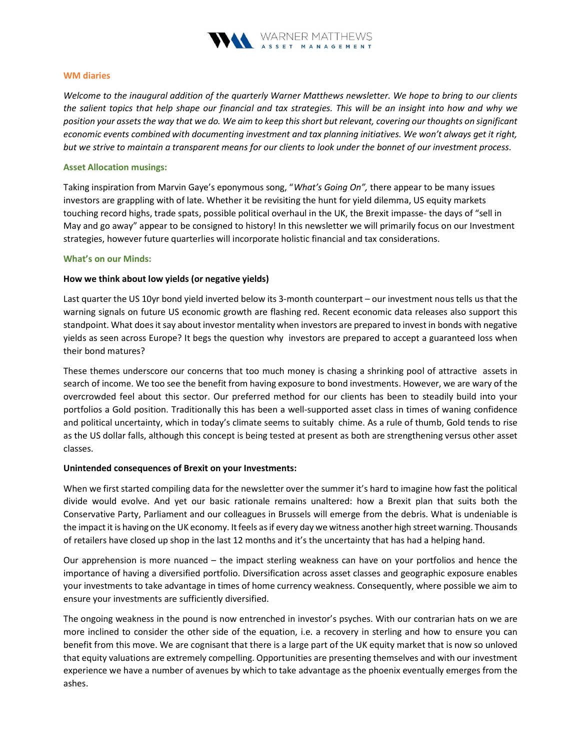

### WM diaries

Welcome to the inaugural addition of the quarterly Warner Matthews newsletter. We hope to bring to our clients the salient topics that help shape our financial and tax strategies. This will be an insight into how and why we position your assets the way that we do. We aim to keep this short but relevant, covering our thoughts on significant economic events combined with documenting investment and tax planning initiatives. We won't always get it right, but we strive to maintain a transparent means for our clients to look under the bonnet of our investment process.

## Asset Allocation musings:

Taking inspiration from Marvin Gaye's eponymous song, "What's Going On", there appear to be many issues investors are grappling with of late. Whether it be revisiting the hunt for yield dilemma, US equity markets touching record highs, trade spats, possible political overhaul in the UK, the Brexit impasse- the days of "sell in May and go away" appear to be consigned to history! In this newsletter we will primarily focus on our Investment strategies, however future quarterlies will incorporate holistic financial and tax considerations.

## What's on our Minds:

# How we think about low yields (or negative yields)

Last quarter the US 10yr bond yield inverted below its 3-month counterpart – our investment nous tells us that the warning signals on future US economic growth are flashing red. Recent economic data releases also support this standpoint. What does it say about investor mentality when investors are prepared to invest in bonds with negative yields as seen across Europe? It begs the question why investors are prepared to accept a guaranteed loss when their bond matures?

These themes underscore our concerns that too much money is chasing a shrinking pool of attractive assets in search of income. We too see the benefit from having exposure to bond investments. However, we are wary of the overcrowded feel about this sector. Our preferred method for our clients has been to steadily build into your portfolios a Gold position. Traditionally this has been a well-supported asset class in times of waning confidence and political uncertainty, which in today's climate seems to suitably chime. As a rule of thumb, Gold tends to rise as the US dollar falls, although this concept is being tested at present as both are strengthening versus other asset classes.

### Unintended consequences of Brexit on your Investments:

When we first started compiling data for the newsletter over the summer it's hard to imagine how fast the political divide would evolve. And yet our basic rationale remains unaltered: how a Brexit plan that suits both the Conservative Party, Parliament and our colleagues in Brussels will emerge from the debris. What is undeniable is the impact it is having on the UK economy. It feels as if every day we witness another high street warning. Thousands of retailers have closed up shop in the last 12 months and it's the uncertainty that has had a helping hand.

Our apprehension is more nuanced – the impact sterling weakness can have on your portfolios and hence the importance of having a diversified portfolio. Diversification across asset classes and geographic exposure enables your investments to take advantage in times of home currency weakness. Consequently, where possible we aim to ensure your investments are sufficiently diversified.

The ongoing weakness in the pound is now entrenched in investor's psyches. With our contrarian hats on we are more inclined to consider the other side of the equation, i.e. a recovery in sterling and how to ensure you can benefit from this move. We are cognisant that there is a large part of the UK equity market that is now so unloved that equity valuations are extremely compelling. Opportunities are presenting themselves and with our investment experience we have a number of avenues by which to take advantage as the phoenix eventually emerges from the ashes.